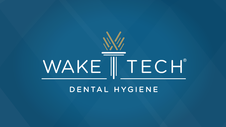

#### DENTAL HYGIENE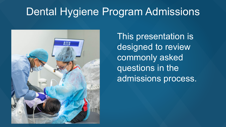## Dental Hygiene Program Admissions



This presentation is designed to review commonly asked questions in the admissions process.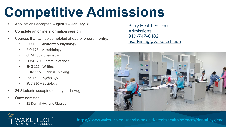# **Competitive Admissions**

- Applications accepted August 1 January 31
- Complete an online information session
- Courses that can be completed ahead of program entry:
	- BIO 163 Anatomy & Physiology
	- BIO 175 Microbiology
	- CHM 130 Chemistry
	- COM 120 Communications
	- ENG 111 Writing
	- HUM 115 Critical Thinking
	- PSY 150 Psychology
	- SOC 210 Sociology
- 24 Students accepted each year in August
- Once admitted:
	- 21 Dental Hygiene Classes

Perry Health Sciences Admissions 919-747-0402 [hsadvising@waketech.edu](mailto:hsadvising@waketech.edu)





https://www.waketech.edu/admissions-aid/credit/health-sciences/dental-hygiene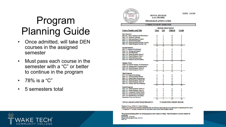## Program Planning Guide

- Once admitted, will take DEN courses in the assigned semester
- Must pass each course in the semester with a "C" or better to continue in the program
- 78% is a "C"
- 5 semesters total



**DENTAL HYGIENE** 

#### **A.A.S. DEGREE**

2020FA A45260

PROGRAM PLANNING GUIDE

#### **CURRICULUM BY SEMESTER**

| <b>Course Number and Title</b>                                          | <b>HOURS PER WEEK</b> |                |                 |                         |
|-------------------------------------------------------------------------|-----------------------|----------------|-----------------|-------------------------|
|                                                                         | <b>Class</b>          | Lab            | <b>Clinical</b> | <b>Credit</b>           |
| <b>First Semester</b>                                                   |                       |                |                 |                         |
| <b>BIO 163</b> Basic Anatomy and Physiology I                           | 4                     | 2              | 0               | 5                       |
| <b>DEN 110 Orofacial Anatomy</b>                                        | $\overline{2}$        | $\overline{2}$ | 0               | 3                       |
| <b>DEN 111 Infection/Hazard Control</b>                                 | $\overline{2}$        | 0              | 0               | $\overline{2}$          |
| <b>DEN 112 Dental Radiography</b>                                       | $\overline{2}$        | 3              | 0               | 3                       |
| <b>DEN 120 Dental Hygiene Preclinic Lecture</b>                         | $\overline{2}$        | 0              | 0               | 2                       |
| DEN 121 Dental Hygiene Preclinic Lab                                    | 0                     | 6              | 0               | $\overline{a}$          |
|                                                                         | 12                    | 13             | Ō               | 17                      |
| <b>Second Semester</b>                                                  |                       |                |                 |                         |
| <b>BIO 175 General Microbiology</b>                                     | $\overline{2}$        | 2              | 0               | 3                       |
| <b>ENG 111 Writing and Inquiry</b>                                      | 3                     | 0              | 0               | 3                       |
| <b>DEN 124 Periodontology</b>                                           | $\overline{2}$        | 0              | 0               | 2                       |
| DEN 130 Dental Hygiene Theory I                                         | $\overline{2}$        | 0              | 0               | $\overline{2}$          |
| DEN 131 Dental Hygiene Clinic I                                         | 0                     | 0              | ٥               | 3                       |
| <b>DEN 223 Dental Pharmacology</b>                                      | $\overline{2}$        | 0              | 0               | $\overline{2}$          |
| <b>DEN 224 Materials and Procedures</b>                                 | ı<br>12               | 3<br>5         | 0<br>٥          | $\overline{2}$<br>17    |
|                                                                         |                       |                |                 |                         |
| Summer Term                                                             | 3                     | 0              | 0               | 3                       |
| CHM 130 General Organic & Biochemistry                                  | 3                     | 0              | 0               | 3                       |
| COM 120 Interpersonal Communication<br>DEN 140 Dental Hygiene Theory II | ı                     | 0              | 0               | ı                       |
| DEN 141 Dental Hygiene Clinic II                                        | 0                     | 0              | б               | $\overline{\mathbf{2}}$ |
|                                                                         | 7                     | 0              | 6               | ۰                       |
| <b>Third Semester</b>                                                   |                       |                |                 |                         |
| PSY 150 General Psychology                                              | 3                     | 0              | 0               | 3                       |
| <b>DEN 123 Nutrition/Dental Health</b>                                  | $\overline{2}$        | 0              | 0               | $\overline{2}$          |
| <b>DEN 125 Dental Office Emergencies</b>                                | $\mathbf 0$           | $\overline{2}$ | 0               | ı                       |
| DEN 220 Dental Hygiene Theory III                                       | $\overline{2}$        | 0              | 0               | $\overline{\mathbf{2}}$ |
| DEN 221 Dental Hygiene Clinic III                                       | $\mathbf 0$           | 0              | 12              | 4                       |
| DEN 222 General and Oral Pathology                                      | 2                     | 0              | 0               | $\overline{\mathbf{2}}$ |
|                                                                         | ٥                     | $\overline{2}$ | $\overline{12}$ | 14                      |
| <b>Fourth Semester</b>                                                  |                       |                |                 |                         |
| DEN 230 Dental Hygiene Theory IV                                        | ı                     | 0              | 0               | ı                       |
| DEN 231 Dental Hygiene Clinic IV                                        | 0                     | 0              | 12              | 4                       |
| <b>DEN 232 Community Dental Health</b>                                  | $\overline{2}$        | 3              | 0               | 3                       |
| <b>DEN 233 Professional Development</b>                                 | $\overline{2}$        | 0              | 0               | $\overline{\mathbf{2}}$ |
| <b>SOC 210 Introduction to Sociology</b>                                | 3                     | 0              | 0               | 3                       |
| Humanities Fine Arts Elective*                                          | 3                     | 0              | 0               | 3                       |
|                                                                         | 11                    | 3              | 12              | 16                      |
|                                                                         |                       |                |                 |                         |

TOTAL GRADUATION REQUIREMENT:

**73 SEMESTER CREDIT HOURS** 

\*Preferred Course: HUM 115 Critical Thinking \*\* Please see an advisor for alternative Humanities/Fine Arts Elective courses that may be accepted prior to registering for the course.

\*\*\* A grade of "C" or better is required for all curriculum courses in the Dental Hygiene Degree.

This program planning guide is for advising purposes and is subject to change. Only the Registrar can clear students for graduation.<br>Date Revised: 05/20/2020 Program of Study Approval Date: 03/25/14 Page 1 of 1

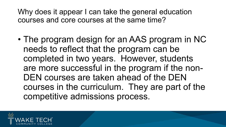Why does it appear I can take the general education courses and core courses at the same time?

• The program design for an AAS program in NC needs to reflect that the program can be completed in two years. However, students are more successful in the program if the non-DEN courses are taken ahead of the DEN courses in the curriculum. They are part of the competitive admissions process.

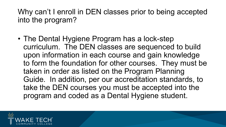Why can't I enroll in DEN classes prior to being accepted into the program?

• The Dental Hygiene Program has a lock-step curriculum. The DEN classes are sequenced to build upon information in each course and gain knowledge to form the foundation for other courses. They must be taken in order as listed on the Program Planning Guide. In addition, per our accreditation standards, to take the DEN courses you must be accepted into the program and coded as a Dental Hygiene student.

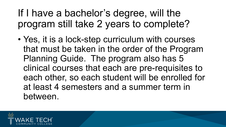## If I have a bachelor's degree, will the program still take 2 years to complete?

• Yes, it is a lock-step curriculum with courses that must be taken in the order of the Program Planning Guide. The program also has 5 clinical courses that each are pre-requisites to each other, so each student will be enrolled for at least 4 semesters and a summer term in between.

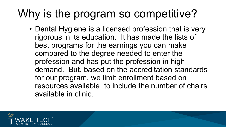## Why is the program so competitive?

• Dental Hygiene is a licensed profession that is very rigorous in its education. It has made the lists of best programs for the earnings you can make compared to the degree needed to enter the profession and has put the profession in high demand. But, based on the accreditation standards for our program, we limit enrollment based on resources available, to include the number of chairs available in clinic.

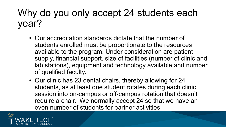### Why do you only accept 24 students each year?

- Our accreditation standards dictate that the number of students enrolled must be proportionate to the resources available to the program. Under consideration are patient supply, financial support, size of facilities (number of clinic and lab stations), equipment and technology available and number of qualified faculty.
- Our clinic has 23 dental chairs, thereby allowing for 24 students, as at least one student rotates during each clinic session into on-campus or off-campus rotation that doesn't require a chair. We normally accept 24 so that we have an even number of students for partner activities.

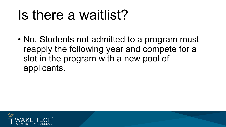# Is there a waitlist?

• No. Students not admitted to a program must reapply the following year and compete for a slot in the program with a new pool of applicants.

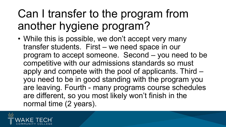## Can I transfer to the program from another hygiene program?

• While this is possible, we don't accept very many transfer students. First – we need space in our program to accept someone. Second – you need to be competitive with our admissions standards so must apply and compete with the pool of applicants. Third – you need to be in good standing with the program you are leaving. Fourth - many programs course schedules are different, so you most likely won't finish in the normal time (2 years).

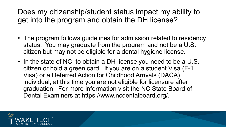Does my citizenship/student status impact my ability to get into the program and obtain the DH license?

- The program follows guidelines for admission related to residency status. You may graduate from the program and not be a U.S. citizen but may not be eligible for a dental hygiene license.
- In the state of NC, to obtain a DH license you need to be a U.S. citizen or hold a green card. If you are on a student Visa (F-1 Visa) or a Deferred Action for Childhood Arrivals (DACA) individual, at this time you are not eligible for licensure after graduation. For more information visit the NC State Board of Dental Examiners at https://www.ncdentalboard.org/.

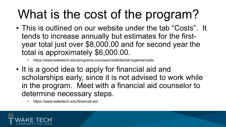# What is the cost of the program?

- This is outlined on our website under the tab "Costs". It tends to increase annually but estimates for the firstyear total just over \$8,000.00 and for second year the total is approximately \$6,000.00.
	- https://www.waketech.edu/programs-courses/credit/dental-hygiene/costs
- It is a good idea to apply for financial aid and scholarships early, since it is not advised to work while in the program. Meet with a financial aid counselor to determine necessary steps.
	- https://www.waketech.edu/financial-aid

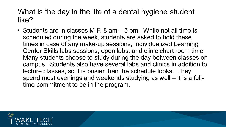#### What is the day in the life of a dental hygiene student like?

• Students are in classes M-F, 8 am – 5 pm. While not all time is scheduled during the week, students are asked to hold these times in case of any make-up sessions, Individualized Learning Center Skills labs sessions, open labs, and clinic chart room time. Many students choose to study during the day between classes on campus. Students also have several labs and clinics in addition to lecture classes, so it is busier than the schedule looks. They spend most evenings and weekends studying as well – it is a fulltime commitment to be in the program.

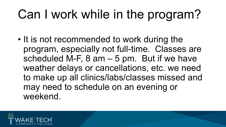# Can I work while in the program?

• It is not recommended to work during the program, especially not full-time. Classes are scheduled M-F,  $8$  am  $-5$  pm. But if we have weather delays or cancellations, etc. we need to make up all clinics/labs/classes missed and may need to schedule on an evening or weekend.

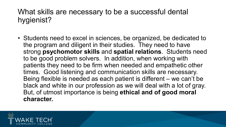#### What skills are necessary to be a successful dental hygienist?

• Students need to excel in sciences, be organized, be dedicated to the program and diligent in their studies. They need to have strong **psychomotor skills** and **spatial relations**. Students need to be good problem solvers. In addition, when working with patients they need to be firm when needed and empathetic other times. Good listening and communication skills are necessary. Being flexible is needed as each patient is different – we can't be black and white in our profession as we will deal with a lot of gray. But, of utmost importance is being **ethical and of good moral character.**

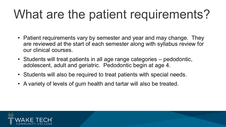# What are the patient requirements?

- Patient requirements vary by semester and year and may change. They are reviewed at the start of each semester along with syllabus review for our clinical courses.
- Students will treat patients in all age range categories pedodontic, adolescent, adult and geriatric. Pedodontic begin at age 4.
- Students will also be required to treat patients with special needs.
- A variety of levels of gum health and tartar will also be treated.

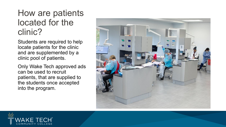#### How are patients located for the clinic?

Students are required to help locate patients for the clinic and are supplemented by a clinic pool of patients.

Only Wake Tech approved ads can be used to recruit patients, that are supplied to the students once accepted into the program.